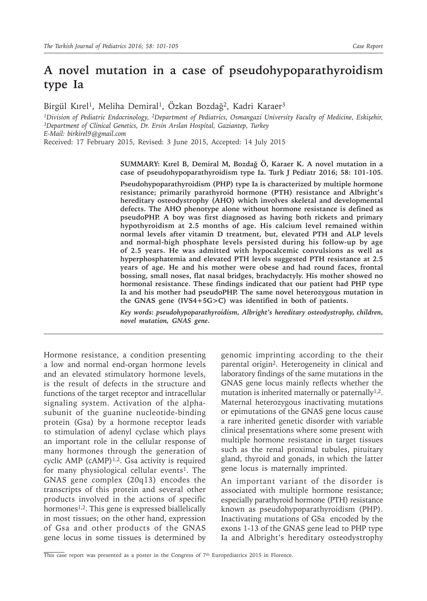## **A novel mutation in a case of pseudohypoparathyroidism type Ia**

Birgül Kırel<sup>1</sup>, Meliha Demiral<sup>1</sup>, Özkan Bozdağ<sup>2</sup>, Kadri Karaer<sup>3</sup>

*1Division of Pediatric Endocrinology, 2Department of Pediatrics, Osmangazi University Faculty of Medicine, Eskişehir, 3Department of Clinical Genetics, Dr. Ersin Arslan Hospital, Gaziantep, Turkey E-Mail: birkirel9@gmail.com* Received: 17 February 2015, Revised: 3 June 2015, Accepted: 14 July 2015

> **SUMMARY: Kırel B, Demiral M, Bozdağ Ö, Karaer K. A novel mutation in a case of pseudohypoparathyroidism type Ia. Turk J Pediatr 2016; 58: 101-105.**

> **Pseudohypoparathyroidism (PHP) type Ia is characterized by multiple hormone resistance; primarily parathyroid hormone (PTH) resistance and Albright's hereditary osteodystrophy (AHO) which involves skeletal and developmental defects. The AHO phenotype alone without hormone resistance is defined as pseudoPHP. A boy was first diagnosed as having both rickets and primary hypothyroidism at 2.5 months of age. His calcium level remained within normal levels after vitamin D treatment, but, elevated PTH and ALP levels and normal-high phosphate levels persisted during his follow-up by age of 2.5 years. He was admitted with hypocalcemic convulsions as well as hyperphosphatemia and elevated PTH levels suggested PTH resistance at 2.5 years of age. He and his mother were obese and had round faces, frontal bossing, small noses, flat nasal bridges, brachydactyly. His mother showed no hormonal resistance. These findings indicated that our patient had PHP type Ia and his mother had pseudoPHP. The same novel heterozygous mutation in the GNAS gene (IVS4+5G>C) was identified in both of patients.**

> *Key words: pseudohypoparathyroidism, Albright's hereditary osteodystrophy, children, novel mutation, GNAS gene.*

Hormone resistance, a condition presenting a low and normal end-organ hormone levels and an elevated stimulatory hormone levels, is the result of defects in the structure and functions of the target receptor and intracellular signaling system. Activation of the alphasubunit of the guanine nucleotide-binding protein (Gsa) by a hormone receptor leads to stimulation of adenyl cyclase which plays an important role in the cellular response of many hormones through the generation of cyclic AMP  $(cAMP)^{1,2}$ . Gsa activity is required for many physiological cellular events<sup>1</sup>. The GNAS gene complex (20q13) encodes the transcripts of this protein and several other products involved in the actions of specific hormones<sup>1,2</sup>. This gene is expressed biallelically in most tissues; on the other hand, expression of Gsa and other products of the GNAS gene locus in some tissues is determined by

genomic imprinting according to the their parental origin2. Heterogeneity in clinical and laboratory findings of the same mutations in the GNAS gene locus mainly reflects whether the mutation is inherited maternally or paternally<sup>1,2</sup>. Maternal heterozygous inactivating mutations or epimutations of the GNAS gene locus cause a rare inherited genetic disorder with variable clinical presentations where some present with multiple hormone resistance in target tissues such as the renal proximal tubules, pituitary gland, thyroid and gonads, in which the latter gene locus is maternally imprinted.

An important variant of the disorder is associated with multiple hormone resistance; especially parathyroid hormone (PTH) resistance known as pseudohypoparathyroidism (PHP). Inactivating mutations of GSa encoded by the exons 1-13 of the GNAS gene lead to PHP type Ia and Albright's hereditary osteodystrophy

This case report was presented as a poster in the Congress of 7th Europediatrics 2015 in Florence.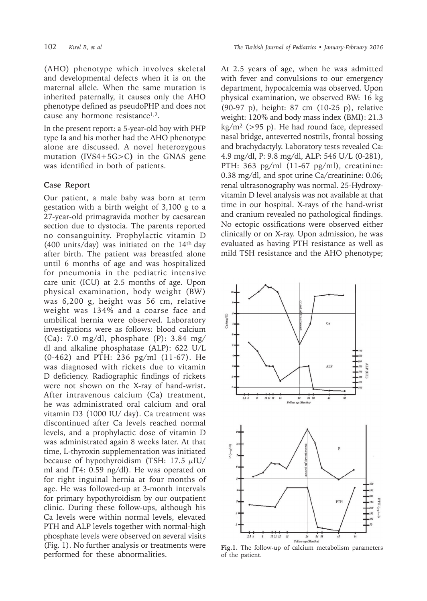(AHO) phenotype which involves skeletal and developmental defects when it is on the maternal allele. When the same mutation is inherited paternally, it causes only the AHO phenotype defined as pseudoPHP and does not cause any hormone resistance1,2.

In the present report: a 5-year-old boy with PHP type Ia and his mother had the AHO phenotype alone are discussed. A novel heterozygous mutation (IVS4+5G>C**)** in the GNAS gene was identified in both of patients.

## **Case Report**

Our patient, a male baby was born at term gestation with a birth weight of 3,100 g to a 27-year-old primagravida mother by caesarean section due to dystocia. The parents reported no consanguinity. Prophylactic vitamin D (400 units/day) was initiated on the  $14<sup>th</sup>$  day after birth. The patient was breastfed alone until 6 months of age and was hospitalized for pneumonia in the pediatric intensive care unit (ICU) at 2.5 months of age. Upon physical examination, body weight (BW) was 6,200 g, height was 56 cm, relative weight was 134% and a coarse face and umbilical hernia were observed. Laboratory investigations were as follows: blood calcium (Ca): 7.0 mg/dl, phosphate (P): 3.84 mg/ dl and alkaline phosphatase (ALP): 622 U/L (0-462) and PTH: 236 pg/ml (11-67). He was diagnosed with rickets due to vitamin D deficiency. Radiographic findings of rickets were not shown on the X-ray of hand-wrist**.** After intravenous calcium (Ca) treatment, he was administrated oral calcium and oral vitamin D3 (1000 IU/ day). Ca treatment was discontinued after Ca levels reached normal levels, and a prophylactic dose of vitamin D was administrated again 8 weeks later. At that time, L-thyroxin supplementation was initiated because of hypothyroidism (TSH: 17.5  $\mu$ IU/ ml and fT4: 0.59 ng/dl). He was operated on for right inguinal hernia at four months of age. He was followed-up at 3-month intervals for primary hypothyroidism by our outpatient clinic. During these follow-ups, although his Ca levels were within normal levels, elevated PTH and ALP levels together with normal-high phosphate levels were observed on several visits (Fig. 1). No further analysis or treatments were performed for these abnormalities.

At 2.5 years of age, when he was admitted with fever and convulsions to our emergency department, hypocalcemia was observed. Upon physical examination, we observed BW: 16 kg (90-97 p), height: 87 cm (10-25 p), relative weight: 120% and body mass index (BMI): 21.3  $kg/m^2$  (>95 p). He had round face, depressed nasal bridge, anteverted nostrils, frontal bossing and brachydactyly. Laboratory tests revealed Ca: 4.9 mg/dl, P: 9.8 mg/dl, ALP: 546 U/L (0-281), PTH: 363 pg/ml (11-67 pg/ml), creatinine: 0.38 mg/dl, and spot urine Ca/creatinine: 0.06; renal ultrasonography was normal. 25-Hydroxyvitamin D level analysis was not available at that time in our hospital. X-rays of the hand-wrist and cranium revealed no pathological findings. No ectopic ossifications were observed either clinically or on X-ray. Upon admission, he was evaluated as having PTH resistance as well as mild TSH resistance and the AHO phenotype;



**Fig.1.** The follow-up of calcium metabolism parameters of the patient.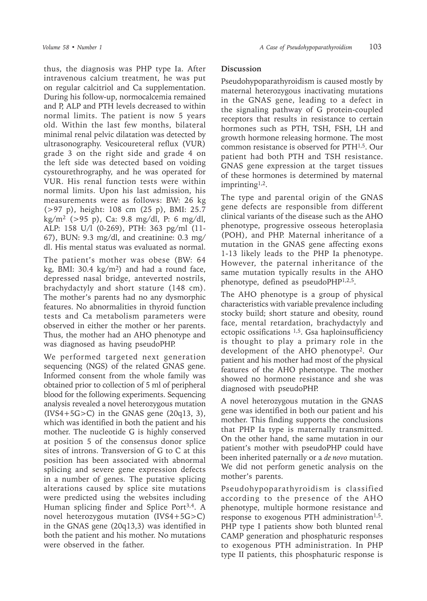thus, the diagnosis was PHP type Ia. After intravenous calcium treatment, he was put on regular calcitriol and Ca supplementation. During his follow-up, normocalcemia remained and P, ALP and PTH levels decreased to within normal limits. The patient is now 5 years old. Within the last few months, bilateral minimal renal pelvic dilatation was detected by ultrasonography. Vesicoureteral reflux (VUR) grade 3 on the right side and grade 4 on the left side was detected based on voiding cystourethrography, and he was operated for VUR. His renal function tests were within normal limits. Upon his last admission, his measurements were as follows: BW: 26 kg (>97 p), height: 108 cm (25 p), BMI: 25.7  $kg/m^2$  (>95 p), Ca: 9.8 mg/dl, P: 6 mg/dl, ALP: 158 U/l (0-269), PTH: 363 pg/ml (11- 67), BUN: 9.3 mg/dl, and creatinine: 0.3 mg/ dl. His mental status was evaluated as normal.

The patient's mother was obese (BW: 64 kg, BMI:  $30.4 \text{ kg/m}^2$  and had a round face, depressed nasal bridge, anteverted nostrils, brachydactyly and short stature (148 cm). The mother's parents had no any dysmorphic features. No abnormalities in thyroid function tests and Ca metabolism parameters were observed in either the mother or her parents. Thus, the mother had an AHO phenotype and was diagnosed as having pseudoPHP.

We performed targeted next generation sequencing (NGS) of the related GNAS gene. Informed consent from the whole family was obtained prior to collection of 5 ml of peripheral blood for the following experiments. Sequencing analysis revealed a novel heterozygous mutation  $(IVS4+5G>C)$  in the GNAS gene  $(20q13, 3)$ , which was identified in both the patient and his mother. The nucleotide G is highly conserved at position 5 of the consensus donor splice sites of introns. Transversion of G to C at this position has been associated with abnormal splicing and severe gene expression defects in a number of genes. The putative splicing alterations caused by splice site mutations were predicted using the websites including Human splicing finder and Splice Port<sup>3,4</sup>. A novel heterozygous mutation (IVS4+5G>C) in the GNAS gene (20q13,3) was identified in both the patient and his mother. No mutations were observed in the father.

## **Discussion**

Pseudohypoparathyroidism is caused mostly by maternal heterozygous inactivating mutations in the GNAS gene, leading to a defect in the signaling pathway of G protein-coupled receptors that results in resistance to certain hormones such as PTH, TSH, FSH, LH and growth hormone releasing hormone. The most common resistance is observed for PTH1,5. Our patient had both PTH and TSH resistance. GNAS gene expression at the target tissues of these hormones is determined by maternal imprinting1,2.

The type and parental origin of the GNAS gene defects are responsible from different clinical variants of the disease such as the AHO phenotype, progressive osseous heteroplasia (POH), and PHP. Maternal inheritance of a mutation in the GNAS gene affecting exons 1-13 likely leads to the PHP Ia phenotype. However, the paternal inheritance of the same mutation typically results in the AHO phenotype, defined as pseudoPHP1,2,5.

The AHO phenotype is a group of physical characteristics with variable prevalence including stocky build; short stature and obesity, round face, mental retardation, brachydactyly and ectopic ossifications  $1,5$ . Gsa haploinsufficiency is thought to play a primary role in the development of the AHO phenotype<sup>2</sup>. Our patient and his mother had most of the physical features of the AHO phenotype. The mother showed no hormone resistance and she was diagnosed with pseudoPHP.

A novel heterozygous mutation in the GNAS gene was identified in both our patient and his mother. This finding supports the conclusions that PHP Ia type is maternally transmitted. On the other hand, the same mutation in our patient's mother with pseudoPHP could have been inherited paternally or a *de novo* mutation. We did not perform genetic analysis on the mother's parents.

Pseudohypoparathyroidism is classified according to the presence of the AHO phenotype, multiple hormone resistance and response to exogenous PTH administration<sup> $1,5$ </sup>. PHP type I patients show both blunted renal CAMP generation and phosphaturic responses to exogenous PTH administration. In PHP type II patients, this phosphaturic response is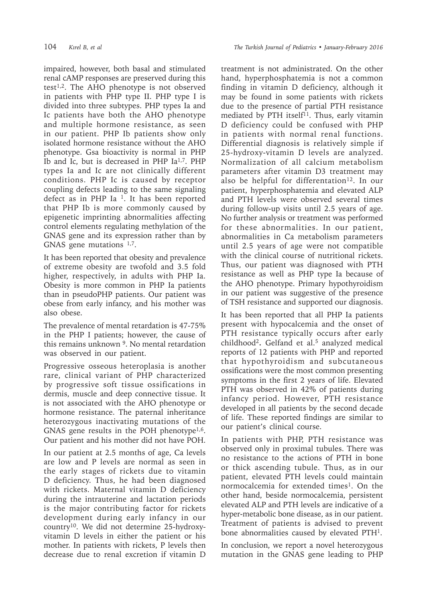impaired, however, both basal and stimulated renal cAMP responses are preserved during this test<sup>1,2</sup>. The AHO phenotype is not observed in patients with PHP type II. PHP type I is divided into three subtypes. PHP types Ia and Ic patients have both the AHO phenotype and multiple hormone resistance, as seen in our patient. PHP Ib patients show only isolated hormone resistance without the AHO phenotype. Gsa bioactivity is normal in PHP Ib and Ic, but is decreased in PHP Ia<sup>1,7</sup>. PHP types Ia and Ic are not clinically different conditions. PHP Ic is caused by receptor coupling defects leading to the same signaling defect as in PHP Ia  $1$ . It has been reported that PHP Ib is more commonly caused by epigenetic imprinting abnormalities affecting control elements regulating methylation of the GNAS gene and its expression rather than by GNAS gene mutations <sup>1,7</sup>.

It has been reported that obesity and prevalence of extreme obesity are twofold and 3.5 fold higher, respectively, in adults with PHP Ia. Obesity is more common in PHP Ia patients than in pseudoPHP patients. Our patient was obese from early infancy, and his mother was also obese.

The prevalence of mental retardation is 47-75% in the PHP I patients; however, the cause of this remains unknown <sup>9</sup>. No mental retardation was observed in our patient.

Progressive osseous heteroplasia is another rare, clinical variant of PHP characterized by progressive soft tissue ossifications in dermis, muscle and deep connective tissue. It is not associated with the AHO phenotype or hormone resistance. The paternal inheritance heterozygous inactivating mutations of the GNAS gene results in the POH phenotype<sup>1,6</sup>. Our patient and his mother did not have POH.

In our patient at 2.5 months of age, Ca levels are low and P levels are normal as seen in the early stages of rickets due to vitamin D deficiency. Thus, he had been diagnosed with rickets. Maternal vitamin D deficiency during the intrauterine and lactation periods is the major contributing factor for rickets development during early infancy in our country10. We did not determine 25-hydroxyvitamin D levels in either the patient or his mother. In patients with rickets, P levels then decrease due to renal excretion if vitamin D treatment is not administrated. On the other hand, hyperphosphatemia is not a common finding in vitamin D deficiency, although it may be found in some patients with rickets due to the presence of partial PTH resistance mediated by PTH itself<sup>11</sup>. Thus, early vitamin D deficiency could be confused with PHP in patients with normal renal functions. Differential diagnosis is relatively simple if 25-hydroxy-vitamin D levels are analyzed. Normalization of all calcium metabolism parameters after vitamin D3 treatment may also be helpful for differentation<sup>12</sup>. In our patient, hyperphosphatemia and elevated ALP and PTH levels were observed several times during follow-up visits until 2.5 years of age. No further analysis or treatment was performed for these abnormalities. In our patient, abnormalities in Ca metabolism parameters until 2.5 years of age were not compatible with the clinical course of nutritional rickets. Thus, our patient was diagnosed with PTH resistance as well as PHP type Ia because of the AHO phenotype. Primary hypothyroidism in our patient was suggestive of the presence of TSH resistance and supported our diagnosis.

It has been reported that all PHP Ia patients present with hypocalcemia and the onset of PTH resistance typically occurs after early childhood<sup>2</sup>**.** Gelfand et al.<sup>5</sup> analyzed medical reports of 12 patients with PHP and reported that hypothyroidism and subcutaneous ossifications were the most common presenting symptoms in the first 2 years of life. Elevated PTH was observed in 42% of patients during infancy period. However, PTH resistance developed in all patients by the second decade of life. These reported findings are similar to our patient's clinical course.

In patients with PHP, PTH resistance was observed only in proximal tubules. There was no resistance to the actions of PTH in bone or thick ascending tubule. Thus, as in our patient, elevated PTH levels could maintain normocalcemia for extended times<sup>1</sup>. On the other hand, beside normocalcemia, persistent elevated ALP and PTH levels are indicative of a hyper-metabolic bone disease, as in our patient. Treatment of patients is advised to prevent bone abnormalities caused by elevated PTH1.

In conclusion, we report a novel heterozygous mutation in the GNAS gene leading to PHP